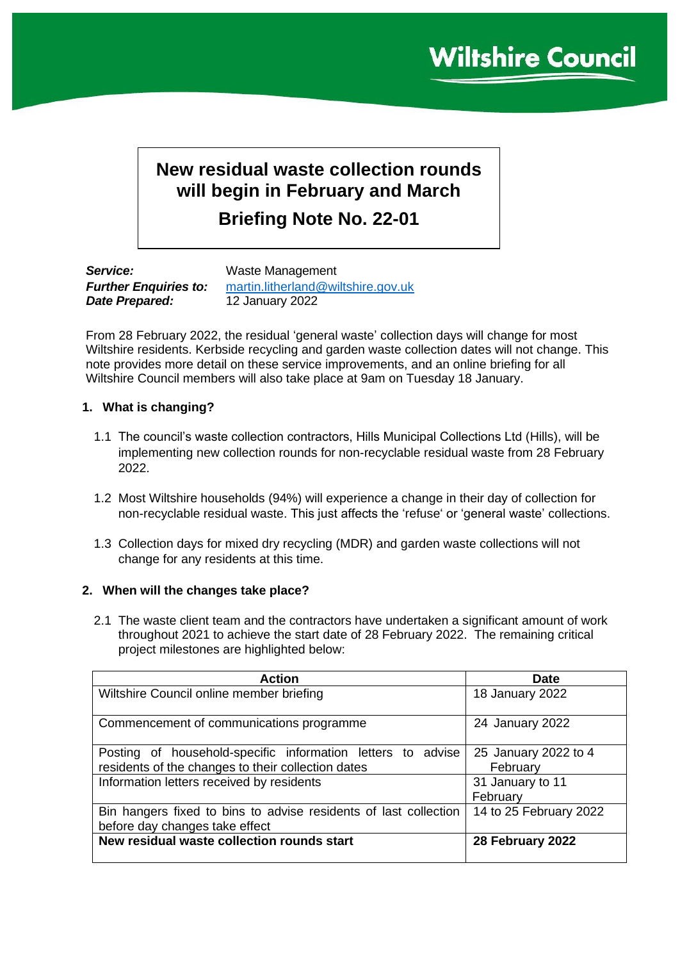# **New residual waste collection rounds will begin in February and March**

**Briefing Note No. 22-01**

*Service:* Waste Management *Date Prepared:* 12 January 2022

*Further Enquiries to:* [martin.litherland@wiltshire.gov.uk](mailto:martin.litherland@wiltshire.gov.uk)

From 28 February 2022, the residual 'general waste' collection days will change for most Wiltshire residents. Kerbside recycling and garden waste collection dates will not change. This note provides more detail on these service improvements, and an online briefing for all Wiltshire Council members will also take place at 9am on Tuesday 18 January.

# **1. What is changing?**

- 1.1 The council's waste collection contractors, Hills Municipal Collections Ltd (Hills), will be implementing new collection rounds for non-recyclable residual waste from 28 February 2022.
- 1.2 Most Wiltshire households (94%) will experience a change in their day of collection for non-recyclable residual waste. This just affects the 'refuse' or 'general waste' collections.
- 1.3 Collection days for mixed dry recycling (MDR) and garden waste collections will not change for any residents at this time.

# **2. When will the changes take place?**

2.1 The waste client team and the contractors have undertaken a significant amount of work throughout 2021 to achieve the start date of 28 February 2022. The remaining critical project milestones are highlighted below:

| <b>Action</b>                                                    | Date                   |
|------------------------------------------------------------------|------------------------|
| Wiltshire Council online member briefing                         | 18 January 2022        |
|                                                                  |                        |
| Commencement of communications programme                         | 24 January 2022        |
|                                                                  |                        |
| Posting of household-specific information letters to advise      | 25 January 2022 to 4   |
| residents of the changes to their collection dates               | February               |
| Information letters received by residents                        | 31 January to 11       |
|                                                                  | February               |
| Bin hangers fixed to bins to advise residents of last collection | 14 to 25 February 2022 |
| before day changes take effect                                   |                        |
| New residual waste collection rounds start                       | 28 February 2022       |
|                                                                  |                        |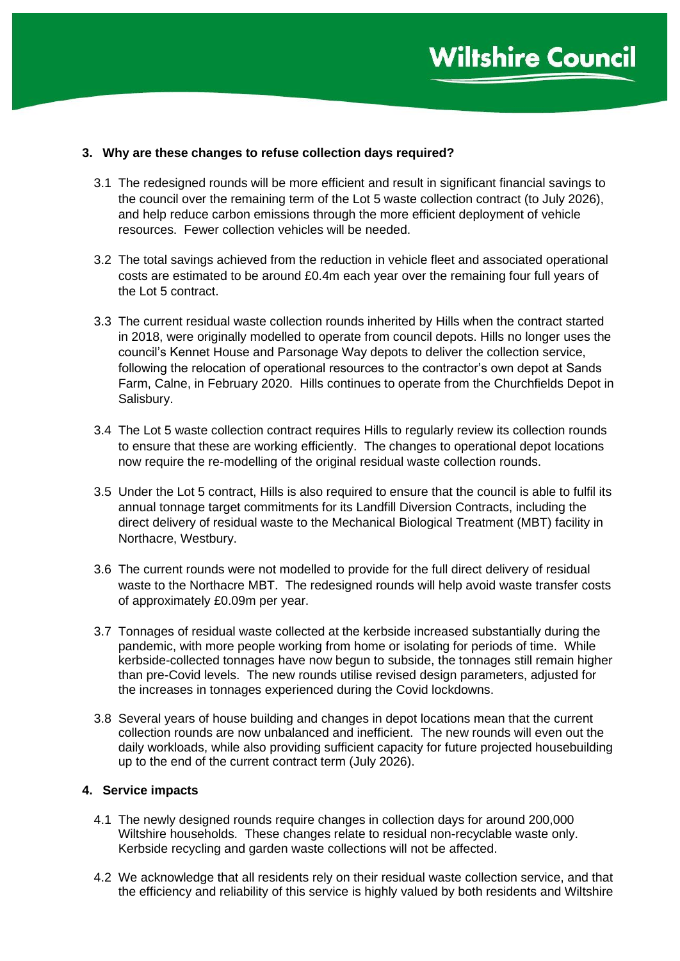## **3. Why are these changes to refuse collection days required?**

- 3.1 The redesigned rounds will be more efficient and result in significant financial savings to the council over the remaining term of the Lot 5 waste collection contract (to July 2026), and help reduce carbon emissions through the more efficient deployment of vehicle resources. Fewer collection vehicles will be needed.
- 3.2 The total savings achieved from the reduction in vehicle fleet and associated operational costs are estimated to be around £0.4m each year over the remaining four full years of the Lot 5 contract.
- 3.3 The current residual waste collection rounds inherited by Hills when the contract started in 2018, were originally modelled to operate from council depots. Hills no longer uses the council's Kennet House and Parsonage Way depots to deliver the collection service, following the relocation of operational resources to the contractor's own depot at Sands Farm, Calne, in February 2020. Hills continues to operate from the Churchfields Depot in Salisbury.
- 3.4 The Lot 5 waste collection contract requires Hills to regularly review its collection rounds to ensure that these are working efficiently. The changes to operational depot locations now require the re-modelling of the original residual waste collection rounds.
- 3.5 Under the Lot 5 contract, Hills is also required to ensure that the council is able to fulfil its annual tonnage target commitments for its Landfill Diversion Contracts, including the direct delivery of residual waste to the Mechanical Biological Treatment (MBT) facility in Northacre, Westbury.
- 3.6 The current rounds were not modelled to provide for the full direct delivery of residual waste to the Northacre MBT. The redesigned rounds will help avoid waste transfer costs of approximately £0.09m per year.
- 3.7 Tonnages of residual waste collected at the kerbside increased substantially during the pandemic, with more people working from home or isolating for periods of time. While kerbside-collected tonnages have now begun to subside, the tonnages still remain higher than pre-Covid levels. The new rounds utilise revised design parameters, adjusted for the increases in tonnages experienced during the Covid lockdowns.
- 3.8 Several years of house building and changes in depot locations mean that the current collection rounds are now unbalanced and inefficient. The new rounds will even out the daily workloads, while also providing sufficient capacity for future projected housebuilding up to the end of the current contract term (July 2026).

### **4. Service impacts**

- 4.1 The newly designed rounds require changes in collection days for around 200,000 Wiltshire households. These changes relate to residual non-recyclable waste only. Kerbside recycling and garden waste collections will not be affected.
- 4.2 We acknowledge that all residents rely on their residual waste collection service, and that the efficiency and reliability of this service is highly valued by both residents and Wiltshire